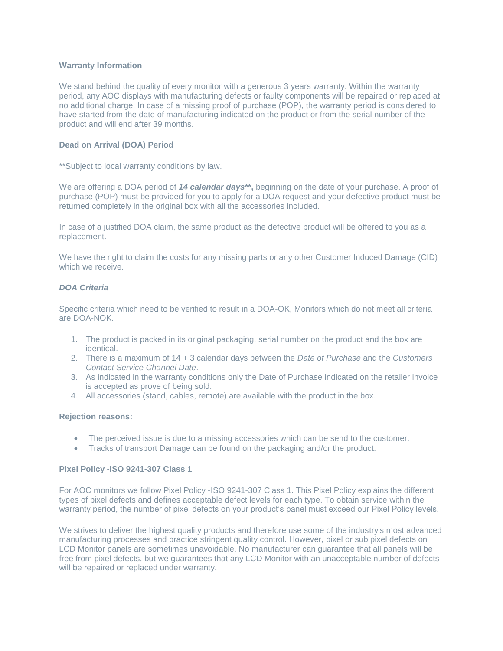#### **Warranty Information**

We stand behind the quality of every monitor with a generous 3 years warranty. Within the warranty period, any AOC displays with manufacturing defects or faulty components will be repaired or replaced at no additional charge. In case of a missing proof of purchase (POP), the warranty period is considered to have started from the date of manufacturing indicated on the product or from the serial number of the product and will end after 39 months.

# **Dead on Arrival (DOA) Period**

\*\*Subject to local warranty conditions by law.

We are offering a DOA period of *14 calendar days***\*\*,** beginning on the date of your purchase. A proof of purchase (POP) must be provided for you to apply for a DOA request and your defective product must be returned completely in the original box with all the accessories included.

In case of a justified DOA claim, the same product as the defective product will be offered to you as a replacement.

We have the right to claim the costs for any missing parts or any other Customer Induced Damage (CID) which we receive.

# *DOA Criteria*

Specific criteria which need to be verified to result in a DOA-OK, Monitors which do not meet all criteria are DOA-NOK.

- 1. The product is packed in its original packaging, serial number on the product and the box are identical.
- 2. There is a maximum of 14 + 3 calendar days between the *Date of Purchase* and the *Customers Contact Service Channel Date*.
- 3. As indicated in the warranty conditions only the Date of Purchase indicated on the retailer invoice is accepted as prove of being sold.
- 4. All accessories (stand, cables, remote) are available with the product in the box.

#### **Rejection reasons:**

- The perceived issue is due to a missing accessories which can be send to the customer.
- Tracks of transport Damage can be found on the packaging and/or the product.

#### **Pixel Policy -ISO 9241-307 Class 1**

For AOC monitors we follow Pixel Policy -ISO 9241-307 Class 1. This Pixel Policy explains the different types of pixel defects and defines acceptable defect levels for each type. To obtain service within the warranty period, the number of pixel defects on your product's panel must exceed our Pixel Policy levels.

We strives to deliver the highest quality products and therefore use some of the industry's most advanced manufacturing processes and practice stringent quality control. However, pixel or sub pixel defects on LCD Monitor panels are sometimes unavoidable. No manufacturer can guarantee that all panels will be free from pixel defects, but we guarantees that any LCD Monitor with an unacceptable number of defects will be repaired or replaced under warranty.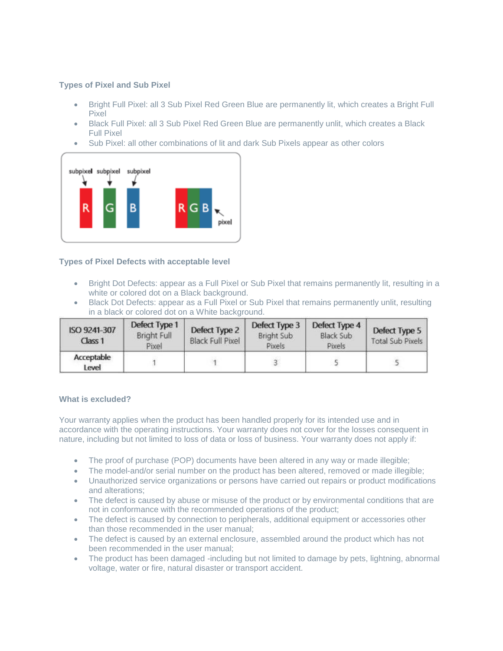## **Types of Pixel and Sub Pixel**

- Bright Full Pixel: all 3 Sub Pixel Red Green Blue are permanently lit, which creates a Bright Full Pixel
- Black Full Pixel: all 3 Sub Pixel Red Green Blue are permanently unlit, which creates a Black Full Pixel
- Sub Pixel: all other combinations of lit and dark Sub Pixels appear as other colors



## **Types of Pixel Defects with acceptable level**

- Bright Dot Defects: appear as a Full Pixel or Sub Pixel that remains permanently lit, resulting in a white or colored dot on a Black background.
- Black Dot Defects: appear as a Full Pixel or Sub Pixel that remains permanently unlit, resulting in a black or colored dot on a White background.

| ISO 9241-307<br>Class <sub>1</sub> | Defect Type 1<br>Bright Full<br>Pixel | Defect Type 2<br><b>Black Full Pixel</b> | Defect Type 3<br><b>Bright Sub</b><br>Pixels | Defect Type 4<br><b>Black Sub</b><br>Pixels | Defect Type 5<br><b>Total Sub Pixels</b> |
|------------------------------------|---------------------------------------|------------------------------------------|----------------------------------------------|---------------------------------------------|------------------------------------------|
| Acceptable<br>Level                |                                       |                                          |                                              |                                             |                                          |

### **What is excluded?**

Your warranty applies when the product has been handled properly for its intended use and in accordance with the operating instructions. Your warranty does not cover for the losses consequent in nature, including but not limited to loss of data or loss of business. Your warranty does not apply if:

- The proof of purchase (POP) documents have been altered in any way or made illegible;
- The model-and/or serial number on the product has been altered, removed or made illegible;
- Unauthorized service organizations or persons have carried out repairs or product modifications and alterations;
- The defect is caused by abuse or misuse of the product or by environmental conditions that are not in conformance with the recommended operations of the product;
- The defect is caused by connection to peripherals, additional equipment or accessories other than those recommended in the user manual;
- The defect is caused by an external enclosure, assembled around the product which has not been recommended in the user manual;
- The product has been damaged -including but not limited to damage by pets, lightning, abnormal voltage, water or fire, natural disaster or transport accident.